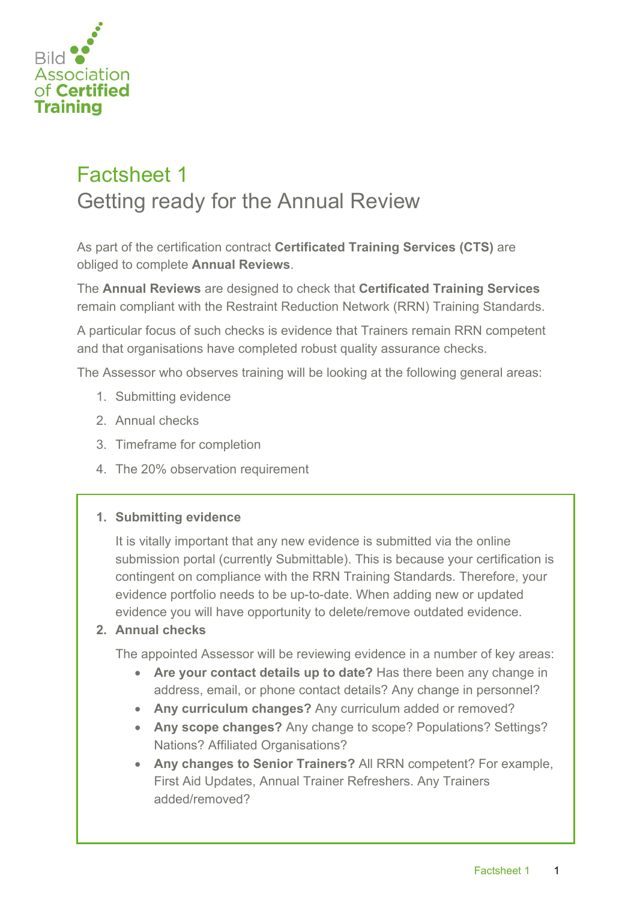

# Factsheet 1 Getting ready for the Annual Review

As part of the certification contract **Certificated Training Services (CTS)** are obliged to complete **Annual Reviews**.

The **Annual Reviews** are designed to check that **Certificated Training Services** remain compliant with the Restraint Reduction Network (RRN) Training Standards.

A particular focus of such checks is evidence that Trainers remain RRN competent and that organisations have completed robust quality assurance checks.

The Assessor who observes training will be looking at the following general areas:

- 1. Submitting evidence
- 2. Annual checks
- 3. Timeframe for completion
- 4. The 20% observation requirement

#### **1. Submitting evidence**

It is vitally important that any new evidence is submitted via the online submission portal (currently Submittable). This is because your certification is contingent on compliance with the RRN Training Standards. Therefore, your evidence portfolio needs to be up-to-date. When adding new or updated evidence you will have opportunity to delete/remove outdated evidence.

### **2. Annual checks**

The appointed Assessor will be reviewing evidence in a number of key areas:

- **Are your contact details up to date?** Has there been any change in address, email, or phone contact details? Any change in personnel?
- **Any curriculum changes?** Any curriculum added or removed?
- **Any scope changes?** Any change to scope? Populations? Settings? Nations? Affiliated Organisations?
- **Any changes to Senior Trainers?** All RRN competent? For example, First Aid Updates, Annual Trainer Refreshers. Any Trainers added/removed?